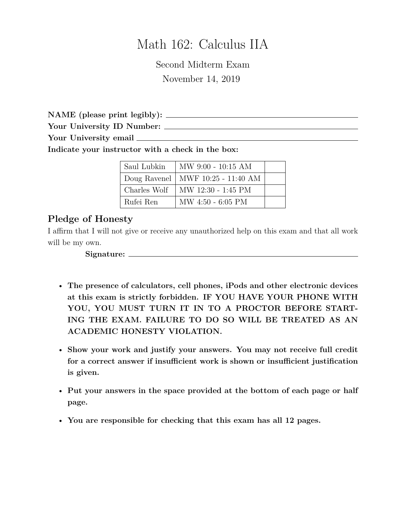# Math 162: Calculus IIA

Second Midterm Exam November 14, 2019

**NAME (please print legibly):**

**Your University ID Number:**

**Your University email**

**Indicate your instructor with a check in the box:**

| Saul Lubkin  | MW 9:00 - 10:15 AM                  |  |
|--------------|-------------------------------------|--|
|              | Doug Ravenel   MWF 10:25 - 11:40 AM |  |
| Charles Wolf | MW 12:30 - 1:45 PM                  |  |
| Rufei Ren    | $MW 4:50 - 6:05 PM$                 |  |

## **Pledge of Honesty**

I affirm that I will not give or receive any unauthorized help on this exam and that all work will be my own.

**Signature:**

- **The presence of calculators, cell phones, iPods and other electronic devices at this exam is strictly forbidden. IF YOU HAVE YOUR PHONE WITH YOU, YOU MUST TURN IT IN TO A PROCTOR BEFORE START-ING THE EXAM. FAILURE TO DO SO WILL BE TREATED AS AN ACADEMIC HONESTY VIOLATION.**
- **Show your work and justify your answers. You may not receive full credit for a correct answer if insufficient work is shown or insufficient justification is given.**
- **Put your answers in the space provided at the bottom of each page or half page.**
- **You are responsible for checking that this exam has all 12 pages.**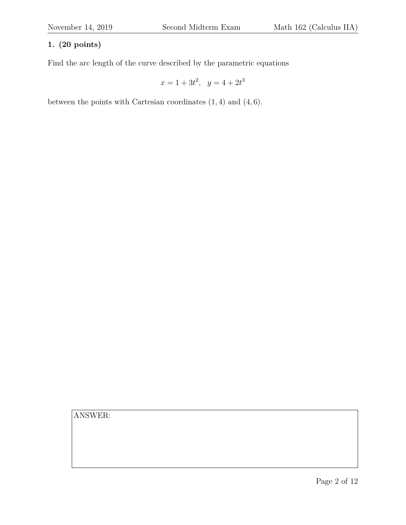#### **1. (20 points)**

Find the arc length of the curve described by the parametric equations

 $x = 1 + 3t^2$ ,  $y = 4 + 2t^3$ 

between the points with Cartesian coordinates (1, 4) and (4, 6).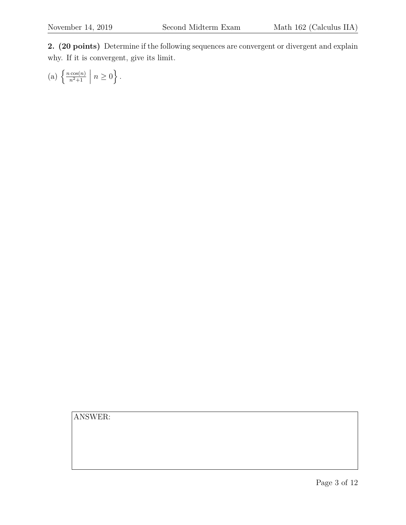**2. (20 points)** Determine if the following sequences are convergent or divergent and explain why. If it is convergent, give its limit.

(a) 
$$
\left\{ \frac{n \cos(n)}{n^2 + 1} \middle| n \ge 0 \right\}.
$$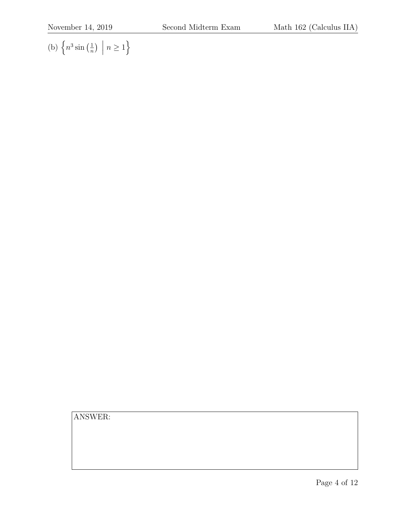(b)  $\left\{n^3\sin\left(\frac{1}{n}\right)\right\}$  $\frac{1}{n}$ )  $n\geq 1$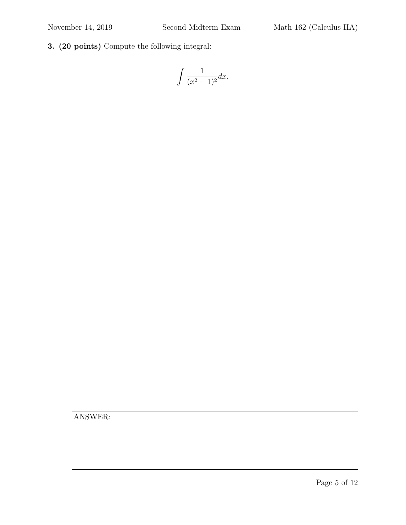**3. (20 points)** Compute the following integral:

$$
\int \frac{1}{(x^2 - 1)^2} dx.
$$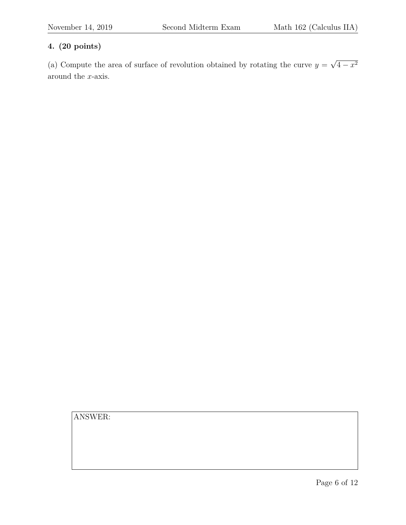### **4. (20 points)**

(a) Compute the area of surface of revolution obtained by rotating the curve  $y =$ √  $4 - x^2$ around the x-axis.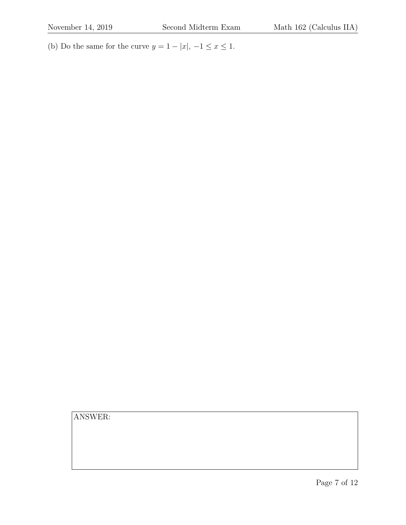(b) Do the same for the curve  $y = 1 - |x|, -1 \le x \le 1$ .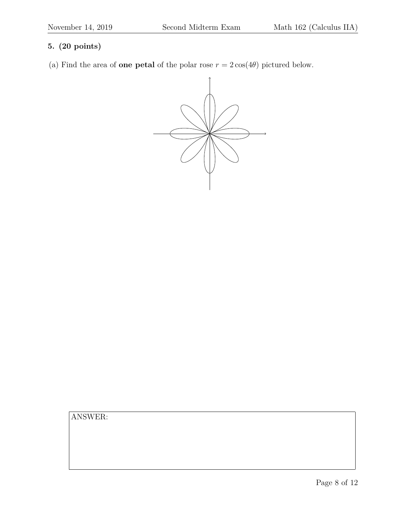#### **5. (20 points)**

(a) Find the area of **one petal** of the polar rose  $r = 2 \cos(4\theta)$  pictured below.

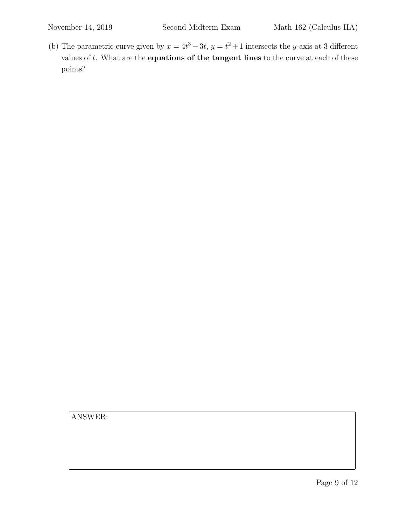(b) The parametric curve given by  $x = 4t^3 - 3t$ ,  $y = t^2 + 1$  intersects the y-axis at 3 different values of t. What are the **equations of the tangent lines** to the curve at each of these points?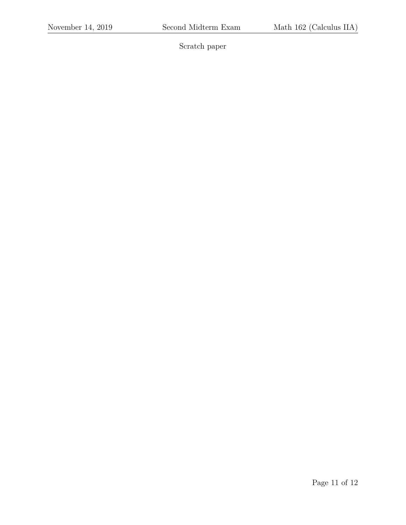Scratch paper